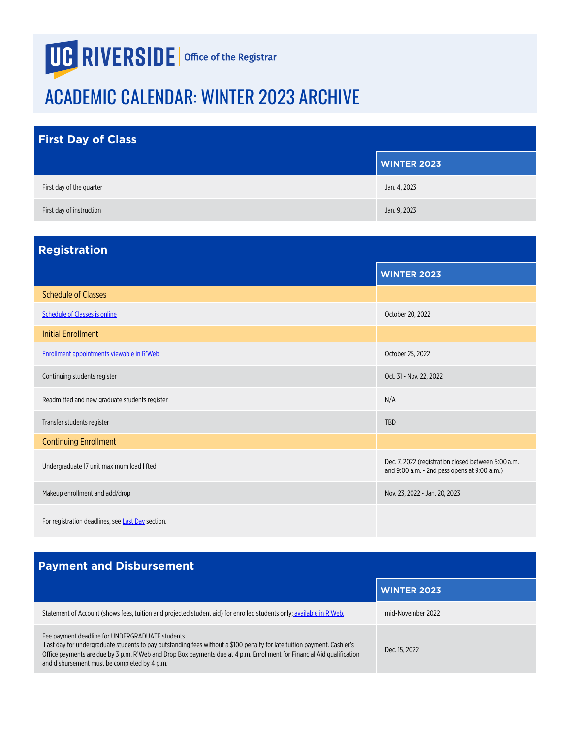## <span id="page-0-0"></span>**UG RIVERSIDE** | Office of the Registrar

## ACADEMIC CALENDAR: WINTER 2023 ARCHIVE

| <b>First Day of Class</b> |                    |
|---------------------------|--------------------|
|                           | <b>WINTER 2023</b> |
| First day of the quarter  | Jan. 4, 2023       |
| First day of instruction  | Jan. 9, 2023       |

| <b>Registration</b>                               |                                                                                                     |
|---------------------------------------------------|-----------------------------------------------------------------------------------------------------|
|                                                   | <b>WINTER 2023</b>                                                                                  |
| <b>Schedule of Classes</b>                        |                                                                                                     |
| <b>Schedule of Classes is online</b>              | October 20, 2022                                                                                    |
| <b>Initial Enrollment</b>                         |                                                                                                     |
| Enrollment appointments viewable in R'Web         | October 25, 2022                                                                                    |
| Continuing students register                      | Oct. 31 - Nov. 22, 2022                                                                             |
| Readmitted and new graduate students register     | N/A                                                                                                 |
| Transfer students register                        | <b>TBD</b>                                                                                          |
| <b>Continuing Enrollment</b>                      |                                                                                                     |
| Undergraduate 17 unit maximum load lifted         | Dec. 7, 2022 (registration closed between 5:00 a.m.<br>and 9:00 a.m. - 2nd pass opens at 9:00 a.m.) |
| Makeup enrollment and add/drop                    | Nov. 23, 2022 - Jan. 20, 2023                                                                       |
| For registration deadlines, see Last Day section. |                                                                                                     |

## **Payment and Disbursement**

|                                                                                                                                                                                                                                                                                                                                                      | <b>WINTER 2023</b> |
|------------------------------------------------------------------------------------------------------------------------------------------------------------------------------------------------------------------------------------------------------------------------------------------------------------------------------------------------------|--------------------|
| Statement of Account (shows fees, tuition and projected student aid) for enrolled students only; available in R'Web.                                                                                                                                                                                                                                 | mid-November 2022  |
| Fee payment deadline for UNDERGRADUATE students<br>Last day for undergraduate students to pay outstanding fees without a \$100 penalty for late tuition payment. Cashier's<br>Office payments are due by 3 p.m. R'Web and Drop Box payments due at 4 p.m. Enrollment for Financial Aid qualification<br>and disbursement must be completed by 4 p.m. | Dec. 15, 2022      |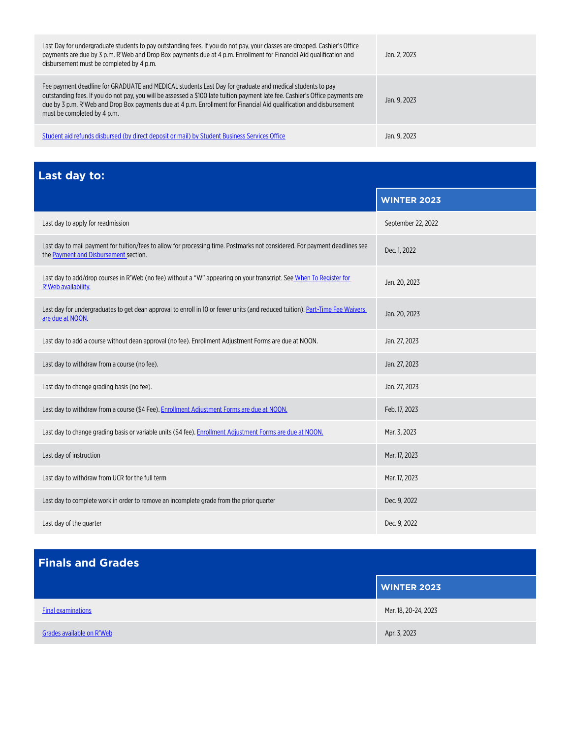<span id="page-1-0"></span>

| Last Day for undergraduate students to pay outstanding fees. If you do not pay, your classes are dropped. Cashier's Office<br>payments are due by 3 p.m. R'Web and Drop Box payments due at 4 p.m. Enrollment for Financial Aid qualification and<br>disbursement must be completed by 4 p.m.                                                                                                    | Jan. 2. 2023 |
|--------------------------------------------------------------------------------------------------------------------------------------------------------------------------------------------------------------------------------------------------------------------------------------------------------------------------------------------------------------------------------------------------|--------------|
| Fee payment deadline for GRADUATE and MEDICAL students Last Day for graduate and medical students to pay<br>outstanding fees. If you do not pay, you will be assessed a \$100 late tuition payment late fee. Cashier's Office payments are<br>due by 3 p.m. R'Web and Drop Box payments due at 4 p.m. Enrollment for Financial Aid qualification and disbursement<br>must be completed by 4 p.m. | Jan. 9. 2023 |
| Student aid refunds disbursed (by direct deposit or mail) by Student Business Services Office                                                                                                                                                                                                                                                                                                    | Jan. 9. 2023 |

**Last day to:**

|                                                                                                                                                                      | <b>WINTER 2023</b> |
|----------------------------------------------------------------------------------------------------------------------------------------------------------------------|--------------------|
| Last day to apply for readmission                                                                                                                                    | September 22, 2022 |
| Last day to mail payment for tuition/fees to allow for processing time. Postmarks not considered. For payment deadlines see<br>the Payment and Disbursement section. | Dec. 1, 2022       |
| Last day to add/drop courses in R'Web (no fee) without a "W" appearing on your transcript. See When To Register for<br>R'Web availability.                           | Jan. 20, 2023      |
| Last day for undergraduates to get dean approval to enroll in 10 or fewer units (and reduced tuition). Part-Time Fee Waivers<br>are due at NOON.                     | Jan. 20, 2023      |
| Last day to add a course without dean approval (no fee). Enrollment Adjustment Forms are due at NOON.                                                                | Jan. 27, 2023      |
| Last day to withdraw from a course (no fee).                                                                                                                         | Jan. 27, 2023      |
| Last day to change grading basis (no fee).                                                                                                                           | Jan. 27, 2023      |
| Last day to withdraw from a course (\$4 Fee). Enrollment Adjustment Forms are due at NOON.                                                                           | Feb. 17, 2023      |
| Last day to change grading basis or variable units (\$4 fee). Enrollment Adjustment Forms are due at NOON.                                                           | Mar. 3, 2023       |
| Last day of instruction                                                                                                                                              | Mar. 17, 2023      |
| Last day to withdraw from UCR for the full term                                                                                                                      | Mar. 17, 2023      |
| Last day to complete work in order to remove an incomplete grade from the prior quarter                                                                              | Dec. 9, 2022       |
| Last day of the quarter                                                                                                                                              | Dec. 9, 2022       |

|                           | <b>WINTER 2023</b>   |
|---------------------------|----------------------|
| <b>Final examinations</b> | Mar. 18, 20-24, 2023 |
| Grades available on R'Web | Apr. 3, 2023         |